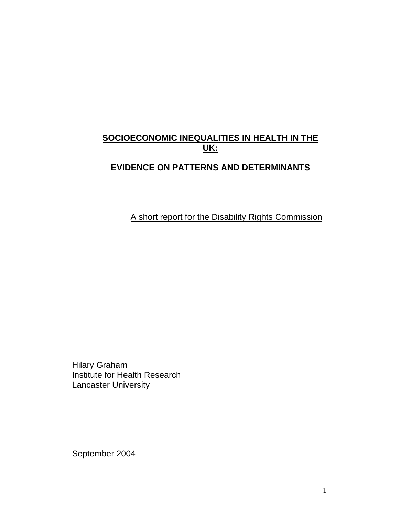# **SOCIOECONOMIC INEQUALITIES IN HEALTH IN THE UK:**

# **EVIDENCE ON PATTERNS AND DETERMINANTS**

A short report for the Disability Rights Commission

Hilary Graham Institute for Health Research Lancaster University

September 2004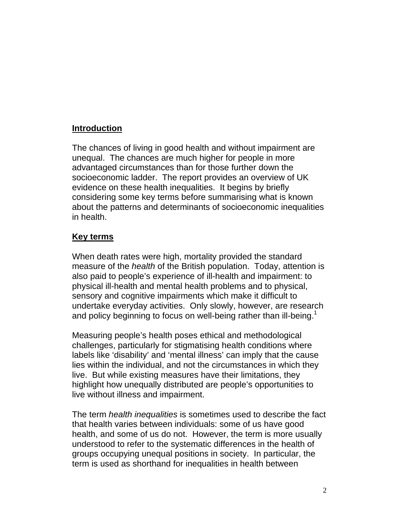## **Introduction**

The chances of living in good health and without impairment are unequal. The chances are much higher for people in more advantaged circumstances than for those further down the socioeconomic ladder. The report provides an overview of UK evidence on these health inequalities. It begins by briefly considering some key terms before summarising what is known about the patterns and determinants of socioeconomic inequalities in health.

### **Key terms**

When death rates were high, mortality provided the standard measure of the *health* of the British population. Today, attention is also paid to people's experience of ill-health and impairment: to physical ill-health and mental health problems and to physical, sensory and cognitive impairments which make it difficult to undertake everyday activities. Only slowly, however, are research and policy beginning to focus on well-being rather than ill-being.<sup>1</sup>

Measuring people's health poses ethical and methodological challenges, particularly for stigmatising health conditions where labels like 'disability' and 'mental illness' can imply that the cause lies within the individual, and not the circumstances in which they live. But while existing measures have their limitations, they highlight how unequally distributed are people's opportunities to live without illness and impairment.

The term *health inequalities* is sometimes used to describe the fact that health varies between individuals: some of us have good health, and some of us do not. However, the term is more usually understood to refer to the systematic differences in the health of groups occupying unequal positions in society. In particular, the term is used as shorthand for inequalities in health between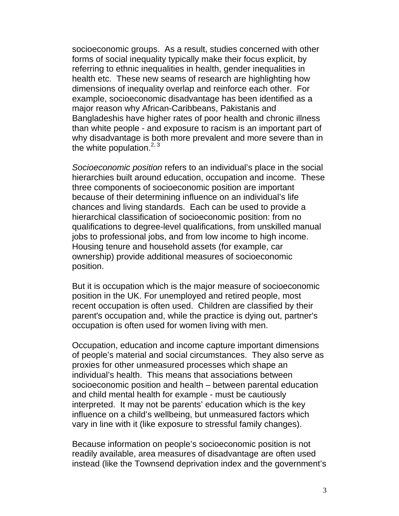socioeconomic groups. As a result, studies concerned with other forms of social inequality typically make their focus explicit, by referring to ethnic inequalities in health, gender inequalities in health etc. These new seams of research are highlighting how dimensions of inequality overlap and reinforce each other. For example, socioeconomic disadvantage has been identified as a major reason why African-Caribbeans, Pakistanis and Bangladeshis have higher rates of poor health and chronic illness than white people - and exposure to racism is an important part of why disadvantage is both more prevalent and more severe than in the white population. $2, 3$ 

*Socioeconomic position* refers to an individual's place in the social hierarchies built around education, occupation and income. These three components of socioeconomic position are important because of their determining influence on an individual's life chances and living standards. Each can be used to provide a hierarchical classification of socioeconomic position: from no qualifications to degree-level qualifications, from unskilled manual jobs to professional jobs, and from low income to high income. Housing tenure and household assets (for example, car ownership) provide additional measures of socioeconomic position.

But it is occupation which is the major measure of socioeconomic position in the UK. For unemployed and retired people, most recent occupation is often used. Children are classified by their parent's occupation and, while the practice is dying out, partner's occupation is often used for women living with men.

Occupation, education and income capture important dimensions of people's material and social circumstances. They also serve as proxies for other unmeasured processes which shape an individual's health. This means that associations between socioeconomic position and health – between parental education and child mental health for example - must be cautiously interpreted. It may not be parents' education which is the key influence on a child's wellbeing, but unmeasured factors which vary in line with it (like exposure to stressful family changes).

Because information on people's socioeconomic position is not readily available, area measures of disadvantage are often used instead (like the Townsend deprivation index and the government's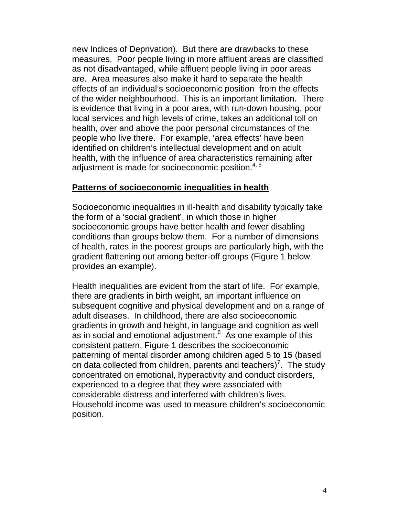new Indices of Deprivation). But there are drawbacks to these measures. Poor people living in more affluent areas are classified as not disadvantaged, while affluent people living in poor areas are. Area measures also make it hard to separate the health effects of an individual's socioeconomic position from the effects of the wider neighbourhood. This is an important limitation. There is evidence that living in a poor area, with run-down housing, poor local services and high levels of crime, takes an additional toll on health, over and above the poor personal circumstances of the people who live there. For example, 'area effects' have been identified on children's intellectual development and on adult health, with the influence of area characteristics remaining after adjustment is made for socioeconomic position.<sup>4, 5</sup>

#### **Patterns of socioeconomic inequalities in health**

Socioeconomic inequalities in ill-health and disability typically take the form of a 'social gradient', in which those in higher socioeconomic groups have better health and fewer disabling conditions than groups below them. For a number of dimensions of health, rates in the poorest groups are particularly high, with the gradient flattening out among better-off groups (Figure 1 below provides an example).

Health inequalities are evident from the start of life. For example, there are gradients in birth weight, an important influence on subsequent cognitive and physical development and on a range of adult diseases. In childhood, there are also socioeconomic gradients in growth and height, in language and cognition as well as in social and emotional adjustment. $6$  As one example of this consistent pattern, Figure 1 describes the socioeconomic patterning of mental disorder among children aged 5 to 15 (based on data collected from children, parents and teachers)<sup>7</sup>. The study concentrated on emotional, hyperactivity and conduct disorders, experienced to a degree that they were associated with considerable distress and interfered with children's lives. Household income was used to measure children's socioeconomic position.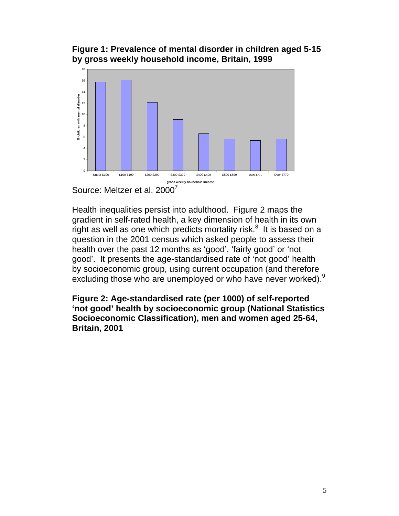**Figure 1: Prevalence of mental disorder in children aged 5-15 by gross weekly household income, Britain, 1999**



Source: Meltzer et al, 2000<sup>7</sup>

Health inequalities persist into adulthood. Figure 2 maps the gradient in self-rated health, a key dimension of health in its own right as well as one which predicts mortality risk.<sup>8</sup> It is based on a question in the 2001 census which asked people to assess their health over the past 12 months as 'good', 'fairly good' or 'not good'. It presents the age-standardised rate of 'not good' health by socioeconomic group, using current occupation (and therefore excluding those who are unemployed or who have never worked).<sup>9</sup>

**Figure 2: Age-standardised rate (per 1000) of self-reported 'not good' health by socioeconomic group (National Statistics Socioeconomic Classification), men and women aged 25-64, Britain, 2001**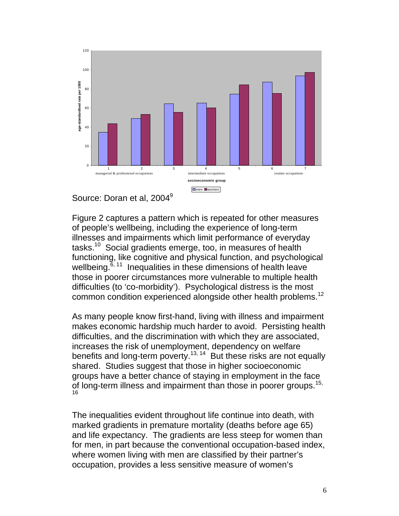



Figure 2 captures a pattern which is repeated for other measures of people's wellbeing, including the experience of long-term illnesses and impairments which limit performance of everyday tasks.10 Social gradients emerge, too, in measures of health functioning, like cognitive and physical function, and psychological wellbeing. $6, 11$  Inequalities in these dimensions of health leave those in poorer circumstances more vulnerable to multiple health difficulties (to 'co-morbidity'). Psychological distress is the most common condition experienced alongside other health problems.<sup>12</sup>

As many people know first-hand, living with illness and impairment makes economic hardship much harder to avoid. Persisting health difficulties, and the discrimination with which they are associated, increases the risk of unemployment, dependency on welfare benefits and long-term poverty.<sup>13, 14</sup> But these risks are not equally shared. Studies suggest that those in higher socioeconomic groups have a better chance of staying in employment in the face of long-term illness and impairment than those in poorer groups.<sup>15,</sup> 16

The inequalities evident throughout life continue into death, with marked gradients in premature mortality (deaths before age 65) and life expectancy. The gradients are less steep for women than for men, in part because the conventional occupation-based index, where women living with men are classified by their partner's occupation, provides a less sensitive measure of women's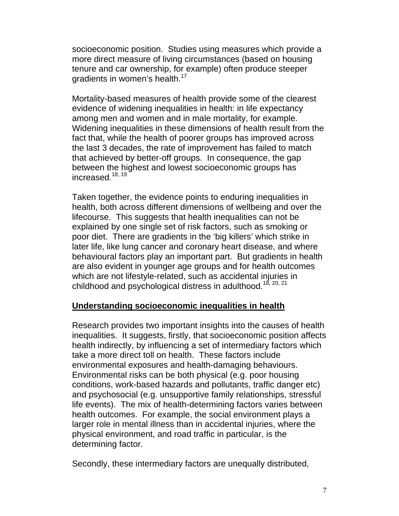socioeconomic position. Studies using measures which provide a more direct measure of living circumstances (based on housing tenure and car ownership, for example) often produce steeper gradients in women's health.<sup>17</sup>

Mortality-based measures of health provide some of the clearest evidence of widening inequalities in health: in life expectancy among men and women and in male mortality, for example. Widening inequalities in these dimensions of health result from the fact that, while the health of poorer groups has improved across the last 3 decades, the rate of improvement has failed to match that achieved by better-off groups. In consequence, the gap between the highest and lowest socioeconomic groups has increased.<sup>18, 19</sup>

Taken together, the evidence points to enduring inequalities in health, both across different dimensions of wellbeing and over the lifecourse. This suggests that health inequalities can not be explained by one single set of risk factors, such as smoking or poor diet. There are gradients in the 'big killers' which strike in later life, like lung cancer and coronary heart disease, and where behavioural factors play an important part. But gradients in health are also evident in younger age groups and for health outcomes which are not lifestyle-related, such as accidental injuries in childhood and psychological distress in adulthood.<sup>18, 20, 21</sup>

#### **Understanding socioeconomic inequalities in health**

Research provides two important insights into the causes of health inequalities. It suggests, firstly, that socioeconomic position affects health indirectly, by influencing a set of intermediary factors which take a more direct toll on health. These factors include environmental exposures and health-damaging behaviours. Environmental risks can be both physical (e.g. poor housing conditions, work-based hazards and pollutants, traffic danger etc) and psychosocial (e.g. unsupportive family relationships, stressful life events). The mix of health-determining factors varies between health outcomes. For example, the social environment plays a larger role in mental illness than in accidental injuries, where the physical environment, and road traffic in particular, is the determining factor.

Secondly, these intermediary factors are unequally distributed,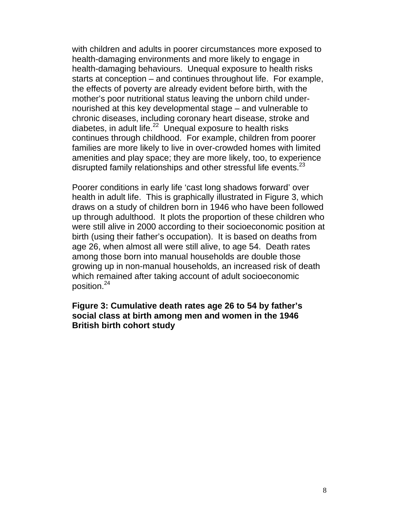with children and adults in poorer circumstances more exposed to health-damaging environments and more likely to engage in health-damaging behaviours. Unequal exposure to health risks starts at conception – and continues throughout life. For example, the effects of poverty are already evident before birth, with the mother's poor nutritional status leaving the unborn child undernourished at this key developmental stage – and vulnerable to chronic diseases, including coronary heart disease, stroke and diabetes, in adult life.<sup>22</sup> Unequal exposure to health risks continues through childhood. For example, children from poorer families are more likely to live in over-crowded homes with limited amenities and play space; they are more likely, too, to experience disrupted family relationships and other stressful life events. $^{23}$ 

Poorer conditions in early life 'cast long shadows forward' over health in adult life. This is graphically illustrated in Figure 3, which draws on a study of children born in 1946 who have been followed up through adulthood. It plots the proportion of these children who were still alive in 2000 according to their socioeconomic position at birth (using their father's occupation). It is based on deaths from age 26, when almost all were still alive, to age 54. Death rates among those born into manual households are double those growing up in non-manual households, an increased risk of death which remained after taking account of adult socioeconomic position.24

#### **Figure 3: Cumulative death rates age 26 to 54 by father's social class at birth among men and women in the 1946 British birth cohort study**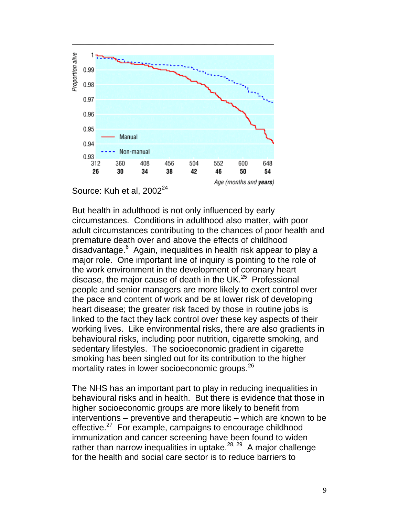

Source: Kuh et al, 2002<sup>24</sup>

But health in adulthood is not only influenced by early circumstances. Conditions in adulthood also matter, with poor adult circumstances contributing to the chances of poor health and premature death over and above the effects of childhood .<br>disadvantage.<sup>6</sup> Again, inequalities in health risk appear to play a major role. One important line of inquiry is pointing to the role of the work environment in the development of coronary heart disease, the major cause of death in the UK.<sup>25</sup> Professional people and senior managers are more likely to exert control over the pace and content of work and be at lower risk of developing heart disease; the greater risk faced by those in routine jobs is linked to the fact they lack control over these key aspects of their working lives. Like environmental risks, there are also gradients in behavioural risks, including poor nutrition, cigarette smoking, and sedentary lifestyles. The socioeconomic gradient in cigarette smoking has been singled out for its contribution to the higher mortality rates in lower socioeconomic groups.<sup>26</sup>

The NHS has an important part to play in reducing inequalities in behavioural risks and in health. But there is evidence that those in higher socioeconomic groups are more likely to benefit from interventions – preventive and therapeutic – which are known to be effective.<sup>27</sup> For example, campaigns to encourage childhood immunization and cancer screening have been found to widen rather than narrow inequalities in uptake. $28, 29$  A major challenge for the health and social care sector is to reduce barriers to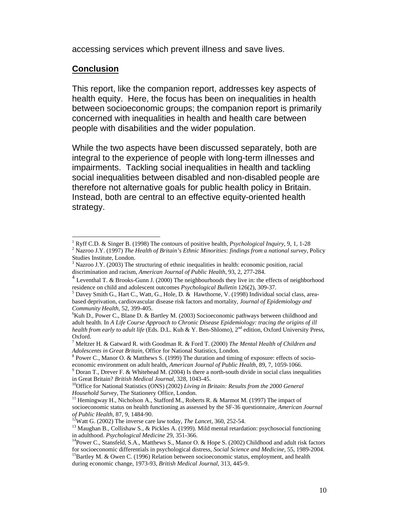accessing services which prevent illness and save lives.

#### **Conclusion**

 $\overline{\phantom{a}}$ 

This report, like the companion report, addresses key aspects of health equity. Here, the focus has been on inequalities in health between socioeconomic groups; the companion report is primarily concerned with inequalities in health and health care between people with disabilities and the wider population.

While the two aspects have been discussed separately, both are integral to the experience of people with long-term illnesses and impairments. Tackling social inequalities in health and tackling social inequalities between disabled and non-disabled people are therefore not alternative goals for public health policy in Britain. Instead, both are central to an effective equity-oriented health strategy.

<sup>&</sup>lt;sup>1</sup> Ryff C.D. & Singer B. (1998) The contours of positive health, *Psychological Inquiry*, 9, 1, 1-28  $^2$  Nerves LX (1997) The Health of Pritcip's Ethnic Minorities: finding from a national summ. I Nazroo J.Y. (1997) *The Health of Britain's Ethnic Minorities: findings from a national survey*, Policy

Studies Institute, London.<br><sup>3</sup> Nezroe L.Y. (2003) The s Nazroo J.Y. (2003) The structuring of ethnic inequalities in health: economic position, racial discrimination and racism, *American Journal of Public Health*, 93, 2, 277-284.

Leventhal T. & Brooks-Gunn J. (2000) The neighbourhoods they live in: the effects of neighborhood residence on child and adolescent outcomes *Psychological Bulletin* 126(2), 309-37.

 $<sup>5</sup>$  Davey Smith G., Hart C., Watt, G., Hole, D. & Hawthorne, V. (1998) Individual social class, area-</sup> based deprivation, cardiovascular disease risk factors and mortality, *Journal of Epidemiology and Community Health*, 52, 399-405. 6

 $K$ uh D., Power C., Blane D. & Bartley M. (2003) Socioeconomic pathways between childhood and adult health. In *A Life Course Approach to Chronic Disease Epidemiology: tracing the origins of ill health from early to adult life* (Eds. D.L. Kuh & Y. Ben-Shlomo), 2nd edition, Oxford University Press, Oxford.

<sup>7</sup> Meltzer H. & Gatward R. with Goodman R. & Ford T. (2000) *The Mental Health of Children and Adolescents in Great Britain,* Office for National Statistics, London*.* <sup>8</sup>

<sup>&</sup>lt;sup>8</sup> Power C., Manor O. & Matthews S. (1999) The duration and timing of exposure: effects of socioeconomic environment on adult health, *American Journal of Public Health*, 89, 7, 1059-1066.

 $9$  Doran T., Drever F. & Whitehead M. (2004) Is there a north-south divide in social class inequalities in Great Britain? *British Medical Journal*, 328, 1043-45.<br><sup>10</sup>Office for National Statistics (ONS) (2002) *Living in Britain: Results from the 2000 General* 

*Household Survey*, The Stationery Office, London.<br><sup>11</sup> Hemingway H., Nicholson A., Stafford M., Roberts R. & Marmot M. (1997) The impact of socioeconomic status on health functioning as assessed by the SF-36 questionnaire, *American Journal* 

*of Public Health*, 87, 9, 1484-90.<br><sup>12</sup>Watt G. (2002) The inverse care law today, *The Lancet*, 360, 252-54.<br><sup>13</sup> Maughan B., Collishaw S., & Pickles A. (1999). Mild mental retardation: psychosocial functioning in adulthood. *Psychological Medicine* 29, 351-366.<br><sup>14</sup>Power C., Stansfeld, S.A., Matthews S., Manor O. & Hope S. (2002) Childhood and adult risk factors

for socioeconomic differentials in psychological distress, *Social Science and Medicine*, 55, 1989-2004.<br><sup>15</sup>Bartley M. & Owen C. (1996) Relation between socioeconomic status, employment, and health

during economic change, 1973-93, *British Medical Journal*, 313, 445-9.